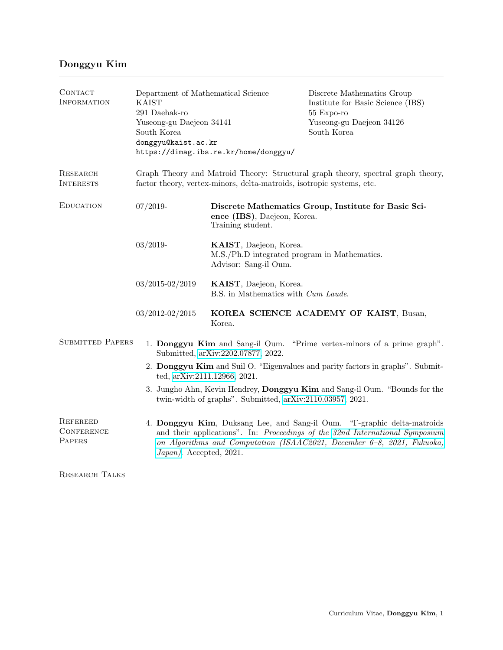## Donggyu Kim

| CONTACT<br>INFORMATION                         | Department of Mathematical Science<br><b>KAIST</b><br>291 Daehak-ro<br>Yuseong-gu Daejeon 34141<br>South Korea<br>donggyu@kaist.ac.kr                                                                                                                         | https://dimag.ibs.re.kr/home/donggyu/                                                                    | Discrete Mathematics Group<br>Institute for Basic Science (IBS)<br>55 Expo-ro<br>Yuseong-gu Daejeon 34126<br>South Korea |  |  |  |
|------------------------------------------------|---------------------------------------------------------------------------------------------------------------------------------------------------------------------------------------------------------------------------------------------------------------|----------------------------------------------------------------------------------------------------------|--------------------------------------------------------------------------------------------------------------------------|--|--|--|
| RESEARCH<br><b>INTERESTS</b>                   | Graph Theory and Matroid Theory: Structural graph theory, spectral graph theory,<br>factor theory, vertex-minors, delta-matroids, isotropic systems, etc.                                                                                                     |                                                                                                          |                                                                                                                          |  |  |  |
| <b>EDUCATION</b>                               | $07/2019-$                                                                                                                                                                                                                                                    | Discrete Mathematics Group, Institute for Basic Sci-<br>ence (IBS), Daejeon, Korea.<br>Training student. |                                                                                                                          |  |  |  |
|                                                | $03/2019-$                                                                                                                                                                                                                                                    | KAIST, Daejeon, Korea.<br>M.S./Ph.D integrated program in Mathematics.<br>Advisor: Sang-il Oum.          |                                                                                                                          |  |  |  |
|                                                | $03/2015 - 02/2019$                                                                                                                                                                                                                                           | KAIST, Daejeon, Korea.<br>B.S. in Mathematics with <i>Cum Laude</i> .                                    |                                                                                                                          |  |  |  |
|                                                | $03/2012 - 02/2015$                                                                                                                                                                                                                                           | KOREA SCIENCE ACADEMY OF KAIST, Busan,<br>Korea.                                                         |                                                                                                                          |  |  |  |
| <b>SUBMITTED PAPERS</b>                        |                                                                                                                                                                                                                                                               | 1. Donggyu Kim and Sang-il Oum.<br>Submitted, arXiv:2202.07877, 2022.                                    | "Prime vertex-minors of a prime graph".                                                                                  |  |  |  |
|                                                | 2. Donggyu Kim and Suil O. "Eigenvalues and parity factors in graphs". Submit-<br>ted, arXiv:2111.12966, 2021.                                                                                                                                                |                                                                                                          |                                                                                                                          |  |  |  |
|                                                | 3. Jungho Ahn, Kevin Hendrey, Donggyu Kim and Sang-il Oum. "Bounds for the<br>twin-width of graphs". Submitted, arXiv:2110.03957, 2021.                                                                                                                       |                                                                                                          |                                                                                                                          |  |  |  |
| <b>REFEREED</b><br><b>CONFERENCE</b><br>PAPERS | 4. Donggyu Kim, Duksang Lee, and Sang-il Oum. "T-graphic delta-matroids"<br>and their applications". In: Proceedings of the 32nd International Symposium<br>on Algorithms and Computation (ISAAC2021, December 6-8, 2021, Fukuoka,<br>Japan). Accepted, 2021. |                                                                                                          |                                                                                                                          |  |  |  |
| <b>RESEARCH TALKS</b>                          |                                                                                                                                                                                                                                                               |                                                                                                          |                                                                                                                          |  |  |  |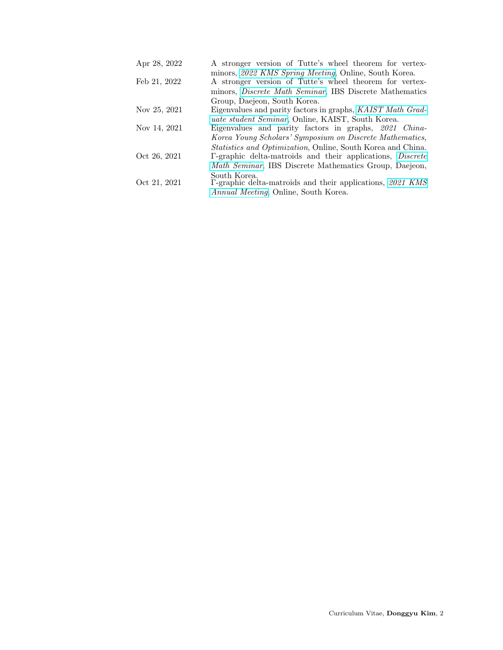| Apr 28, 2022 | A stronger version of Tutte's wheel theorem for vertex- |  |  |  |
|--------------|---------------------------------------------------------|--|--|--|
|              | minors, 2022 KMS Spring Meeting, Online, South Korea.   |  |  |  |

- Feb 21, 2022 A stronger version of Tutte's wheel theorem for vertexminors, [Discrete Math Seminar](https://dimag.ibs.re.kr/event/2022-02-21/), IBS Discrete Mathematics Group, Daejeon, South Korea.
- Nov 25, 2021 Eigenvalues and parity factors in graphs, [KAIST Math Grad](https://mathsci.kaist.ac.kr/gradseminar/photo/kmgs-2nd/)[uate student Seminar](https://mathsci.kaist.ac.kr/gradseminar/photo/kmgs-2nd/), Online, KAIST, South Korea.
- Nov 14, 2021 Eigenvalues and parity factors in graphs, 2021 China-Korea Young Scholars' Symposium on Discrete Mathematics,
- Statistics and Optimization, Online, South Korea and China. Oct 26, 2021 Γ-graphic delta-matroids and their applications, [Discrete](https://dimag.ibs.re.kr/event/2021-10-26/) [Math Seminar](https://dimag.ibs.re.kr/event/2021-10-26/), IBS Discrete Mathematics Group, Daejeon, South Korea.
- Oct 21, 2021 Γ-graphic delta-matroids and their applications, [2021 KMS](https://www.kms.or.kr/meetings/fall2021/) [Annual Meeting](https://www.kms.or.kr/meetings/fall2021/), Online, South Korea.